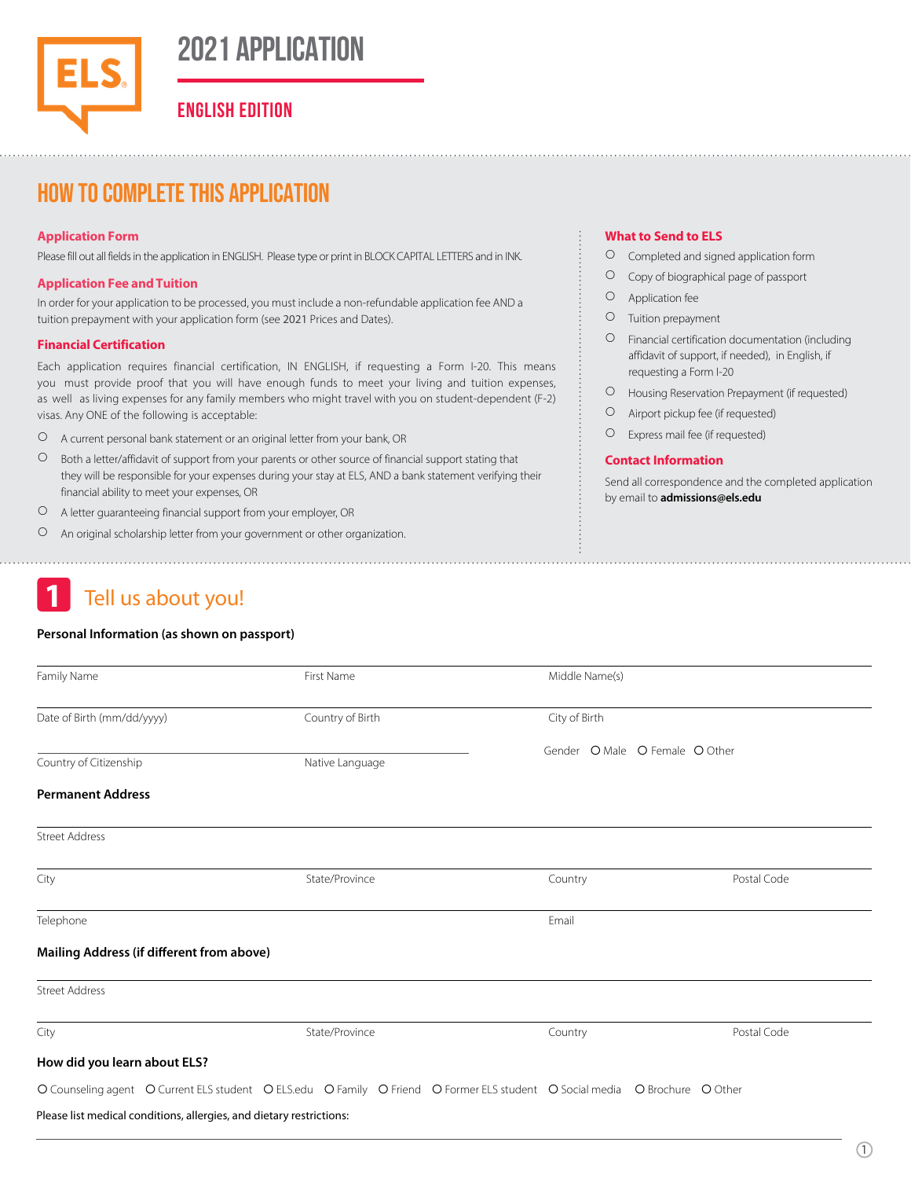## **2021 Application**

**ENGLISH EDITION**

## How to complete this application

#### **Application Form**

Please fill out all fields in the application in ENGLISH. Please type or print in BLOCK CAPITAL LETTERS and in INK.

#### **Application Fee andTuition**

In order for your application to be processed, you must include a non-refundable application fee AND a tuition prepayment with your application form (see 2021 Prices and Dates).

#### **Financial Certification**

Each application requires financial certification, IN ENGLISH, if requesting a Form I-20. This means you must provide proof that you will have enough funds to meet your living and tuition expenses, as well as living expenses for any family members who might travel with you on student-dependent (F-2) visas. Any ONE of the following is acceptable:

- A current personal bank statement or an original letter from your bank, OR
- O Both a letter/affidavit of support from your parents or other source of financial support stating that they will be responsible for your expenses during your stay at ELS, AND a bank statement verifying their financial ability to meet your expenses, OR
- A letter guaranteeing financial support from your employer, OR
- An original scholarship letter from your government or other organization.

## **1** Tell us about you!

#### **Personal Information (as shown on passport)**

#### **What to Send to ELS**

- Completed and signed application form
- Copy of biographical page of passport
- Application fee
- O Tuition prepayment
- Financial certification documentation (including affidavit of support, if needed), in English, if requesting a Form I-20
- Housing Reservation Prepayment (if requested)
- Airport pickup fee (if requested)
- Express mail fee (if requested)

#### **Contact Information**

Send all correspondence and the completed application by email to **admissions@els.edu**

| Family Name                                                          |                 | First Name                                                                                                                  | Middle Name(s)                 |             |
|----------------------------------------------------------------------|-----------------|-----------------------------------------------------------------------------------------------------------------------------|--------------------------------|-------------|
| Date of Birth (mm/dd/yyyy)                                           |                 | Country of Birth                                                                                                            | City of Birth                  |             |
| Country of Citizenship                                               | Native Language |                                                                                                                             | Gender O Male O Female O Other |             |
| <b>Permanent Address</b>                                             |                 |                                                                                                                             |                                |             |
| <b>Street Address</b>                                                |                 |                                                                                                                             |                                |             |
| City                                                                 |                 | State/Province                                                                                                              | Country                        | Postal Code |
| Telephone                                                            |                 |                                                                                                                             | Email                          |             |
| Mailing Address (if different from above)                            |                 |                                                                                                                             |                                |             |
| <b>Street Address</b>                                                |                 |                                                                                                                             |                                |             |
| City                                                                 |                 | State/Province                                                                                                              | Country                        | Postal Code |
| How did you learn about ELS?                                         |                 |                                                                                                                             |                                |             |
|                                                                      |                 | O Counseling agent O Current ELS student O ELS.edu O Family O Friend O Former ELS student O Social media O Brochure O Other |                                |             |
| Please list medical conditions, allergies, and dietary restrictions: |                 |                                                                                                                             |                                |             |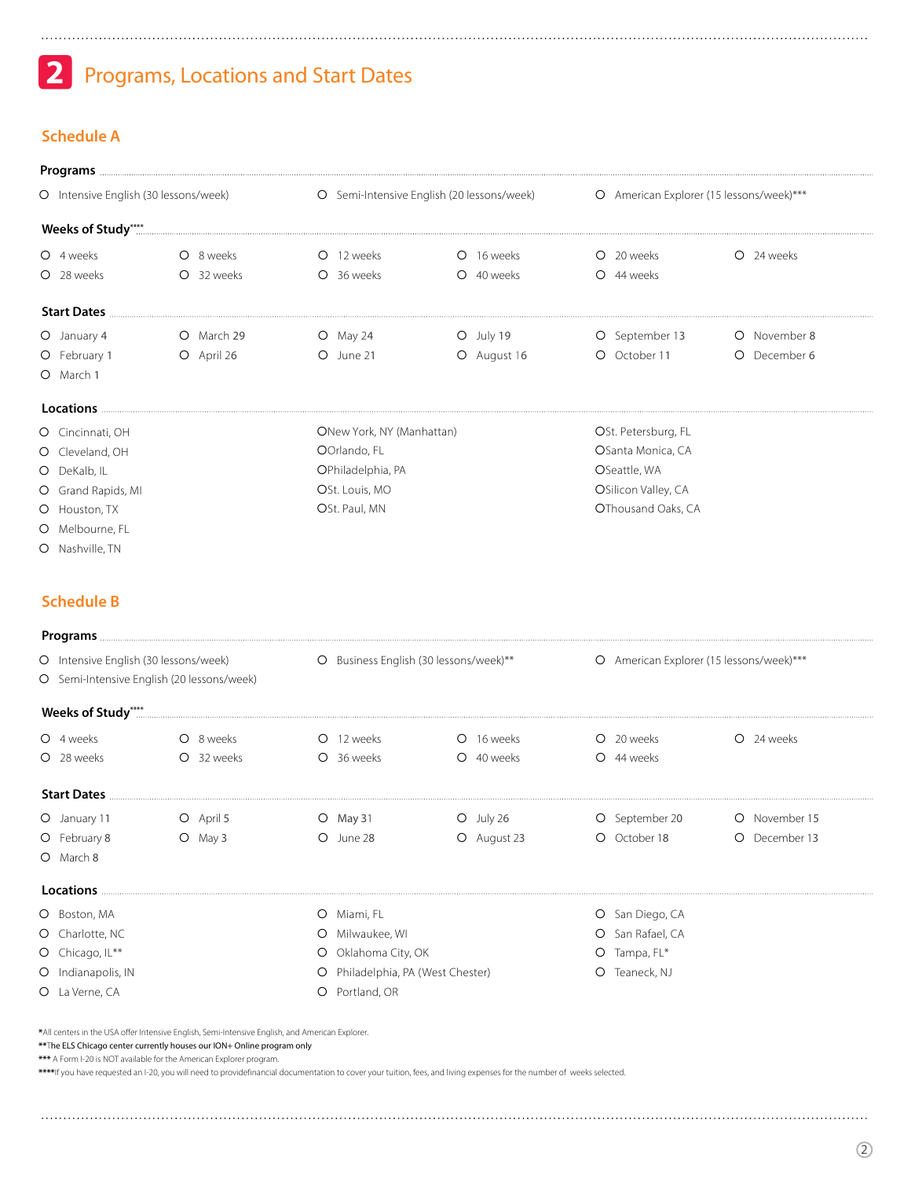## **2** Programs, Locations and Start Dates

### **Schedule A**

| Programs                              |            |                           |                                                                                          |                     |                       |  |  |
|---------------------------------------|------------|---------------------------|------------------------------------------------------------------------------------------|---------------------|-----------------------|--|--|
| O Intensive English (30 lessons/week) |            |                           | O Semi-Intensive English (20 lessons/week)      O American Explorer (15 lessons/week)*** |                     |                       |  |  |
|                                       |            |                           |                                                                                          |                     |                       |  |  |
| O 4 weeks                             | O 8 weeks  | O 12 weeks                | O 16 weeks                                                                               | O 20 weeks          | O 24 weeks            |  |  |
| O 28 weeks                            | O 32 weeks | O 36 weeks                | Q 40 weeks                                                                               | O 44 weeks          |                       |  |  |
| <b>Start Dates</b>                    |            |                           |                                                                                          |                     |                       |  |  |
| O January 4                           | O March 29 | $O$ May 24                | $O$ July 19                                                                              | O September 13      | November 8            |  |  |
| O February 1                          | O April 26 | O June 21                 | O August 16                                                                              | O October 11        | December 6<br>$\circ$ |  |  |
| O March 1                             |            |                           |                                                                                          |                     |                       |  |  |
| Locations <b>Exercise</b>             |            |                           |                                                                                          |                     |                       |  |  |
| O Cincinnati, OH                      |            | ONew York, NY (Manhattan) |                                                                                          | OSt. Petersburg, FL |                       |  |  |
| O Cleveland, OH                       |            | OOrlando, FL              |                                                                                          | OSanta Monica, CA   |                       |  |  |
| O DeKalb, IL                          |            | OPhiladelphia, PA         |                                                                                          | OSeattle, WA        |                       |  |  |
| O Grand Rapids, MI                    |            | OSt. Louis, MO            |                                                                                          | OSilicon Valley, CA |                       |  |  |
| O Houston, TX                         |            | OSt. Paul, MN             |                                                                                          | OThousand Oaks, CA  |                       |  |  |
| O Melbourne, FL                       |            |                           |                                                                                          |                     |                       |  |  |

O Nashville, TN

#### **Schedule B**

|                                            | Programs <b>Executive Structure Contract Contract Contract Contract Contract Contract Contract Contract Contract Contract Contract Contract Contract Contract Contract Contract Contract Contract Contract Contract Contract Con</b> |                                        |             |                                          |               |  |
|--------------------------------------------|--------------------------------------------------------------------------------------------------------------------------------------------------------------------------------------------------------------------------------------|----------------------------------------|-------------|------------------------------------------|---------------|--|
| O Intensive English (30 lessons/week)      |                                                                                                                                                                                                                                      | O Business English (30 lessons/week)** |             | O American Explorer (15 lessons/week)*** |               |  |
| O Semi-Intensive English (20 lessons/week) |                                                                                                                                                                                                                                      |                                        |             |                                          |               |  |
|                                            |                                                                                                                                                                                                                                      |                                        |             |                                          |               |  |
| O 4 weeks                                  | O 8 weeks                                                                                                                                                                                                                            | O 12 weeks                             | O 16 weeks  | O 20 weeks                               | O 24 weeks    |  |
| O 28 weeks                                 | O 32 weeks                                                                                                                                                                                                                           | O 36 weeks                             | O 40 weeks  | O 44 weeks                               |               |  |
|                                            |                                                                                                                                                                                                                                      |                                        |             |                                          | Start Dates   |  |
| O January 11                               | O April 5                                                                                                                                                                                                                            | $O$ May 31                             | $O$ July 26 | O September 20                           | O November 15 |  |
| O February 8                               | $O$ May 3                                                                                                                                                                                                                            | O June 28                              | O August 23 | O October 18                             | O December 13 |  |
| O March 8                                  |                                                                                                                                                                                                                                      |                                        |             |                                          |               |  |
|                                            |                                                                                                                                                                                                                                      |                                        |             |                                          |               |  |
| O Boston, MA                               |                                                                                                                                                                                                                                      | O Miami, FL                            |             | O San Diego, CA                          |               |  |
| O Charlotte, NC                            |                                                                                                                                                                                                                                      | Milwaukee, WI<br>$\circ$               |             | O San Rafael, CA                         |               |  |
| O Chicago, IL**                            |                                                                                                                                                                                                                                      | $\circ$<br>Oklahoma City, OK           |             | O Tampa, FL*                             |               |  |
| O Indianapolis, IN                         |                                                                                                                                                                                                                                      | O Philadelphia, PA (West Chester)      |             | Teaneck, NJ<br>O                         |               |  |
| O La Verne, CA                             |                                                                                                                                                                                                                                      | Portland, OR<br>$\circ$                |             |                                          |               |  |

**\***All centers in the USA offer Intensive English, Semi-Intensive English, and American Explorer.

**\*\***The ELS Chicago center currently houses our ION+ Online program only **\*\*\*** A Form I-20 is NOT available for the American Explorer program.

**\*\*\*\***If you have requested an I-20, you will need to providefinancial documentation to cover your tuition, fees, and living expenses for the number of weeks selected.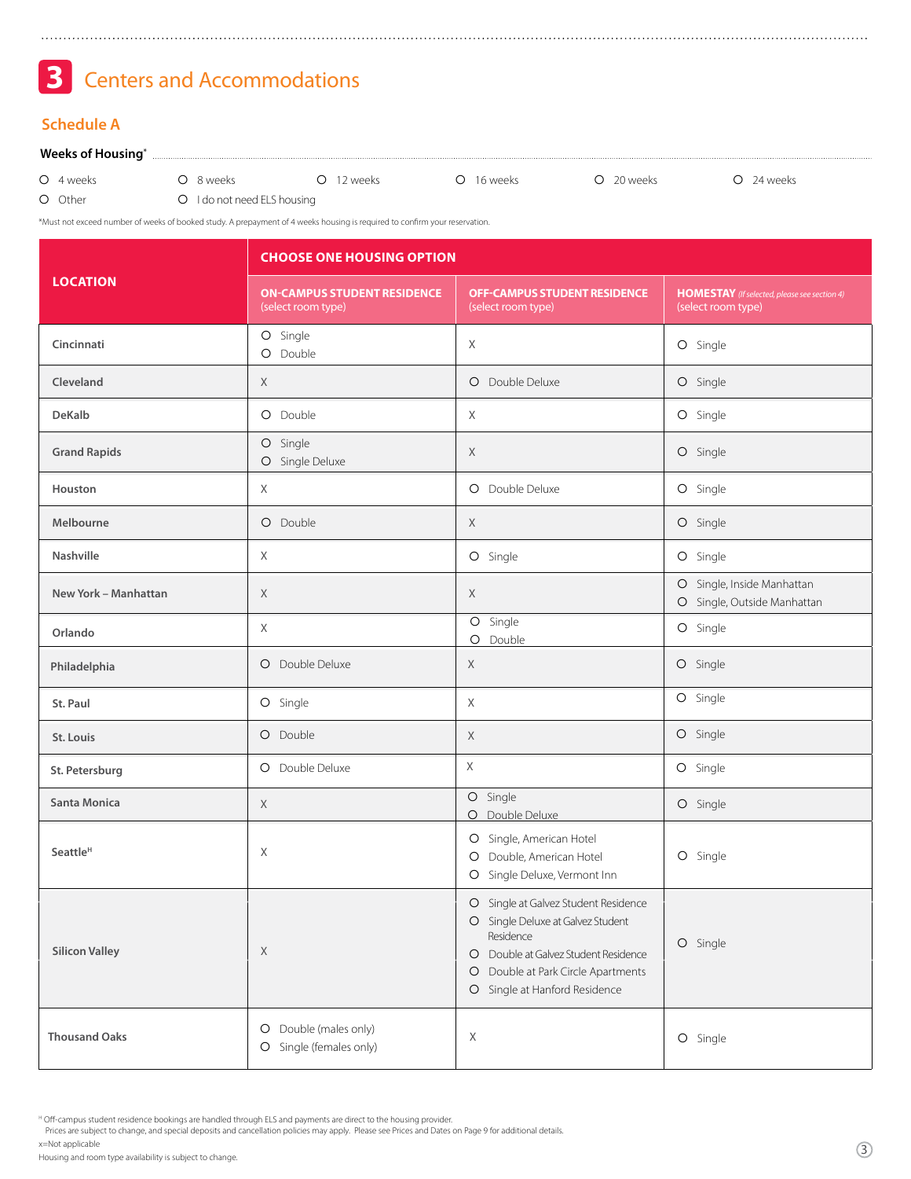Centers and Accommodations **3**

#### **Schedule A**

#### **Weeks of Housing\***

| O 4 weeks | O 8 weeks                   | O 12 weeks | O 16 weeks | O 20 weeks | O 24 weeks |
|-----------|-----------------------------|------------|------------|------------|------------|
| O Other   | O I do not need ELS housing |            |            |            |            |

\*Must not exceed number of weeks of booked study. A prepayment of 4 weeks housing is required to confirm your reservation.

|                       | <b>CHOOSE ONE HOUSING OPTION</b>                         |                                                                                                                                                                                                                |                                                                           |  |  |  |
|-----------------------|----------------------------------------------------------|----------------------------------------------------------------------------------------------------------------------------------------------------------------------------------------------------------------|---------------------------------------------------------------------------|--|--|--|
| <b>LOCATION</b>       | <b>ON-CAMPUS STUDENT RESIDENCE</b><br>(select room type) | <b>OFF-CAMPUS STUDENT RESIDENCE</b><br>(select room type)                                                                                                                                                      | <b>HOMESTAY</b> (If selected, please see section 4)<br>(select room type) |  |  |  |
| Cincinnati            | O Single<br>O Double                                     | X                                                                                                                                                                                                              | O Single                                                                  |  |  |  |
| Cleveland             | X                                                        | O Double Deluxe                                                                                                                                                                                                | O Single                                                                  |  |  |  |
| <b>DeKalb</b>         | O Double                                                 | X                                                                                                                                                                                                              | O Single                                                                  |  |  |  |
| <b>Grand Rapids</b>   | O Single<br>O Single Deluxe                              | X                                                                                                                                                                                                              | O Single                                                                  |  |  |  |
| Houston               | X                                                        | O Double Deluxe                                                                                                                                                                                                | O Single                                                                  |  |  |  |
| Melbourne             | O Double                                                 | X                                                                                                                                                                                                              | O Single                                                                  |  |  |  |
| Nashville             | X                                                        | O Single                                                                                                                                                                                                       | O Single                                                                  |  |  |  |
| New York - Manhattan  | X                                                        | X                                                                                                                                                                                                              | O Single, Inside Manhattan<br>O Single, Outside Manhattan                 |  |  |  |
| Orlando               | X                                                        | O Single<br>O Double                                                                                                                                                                                           | O Single                                                                  |  |  |  |
| Philadelphia          | Double Deluxe<br>O                                       | X                                                                                                                                                                                                              | O Single                                                                  |  |  |  |
| St. Paul              | O Single                                                 | $\times$                                                                                                                                                                                                       | O Single                                                                  |  |  |  |
| St. Louis             | O Double                                                 | $\chi$                                                                                                                                                                                                         | O Single                                                                  |  |  |  |
| St. Petersburg        | O Double Deluxe                                          | $\times$                                                                                                                                                                                                       | O Single                                                                  |  |  |  |
| Santa Monica          | X                                                        | O Single<br>Double Deluxe<br>$\circ$                                                                                                                                                                           | O Single                                                                  |  |  |  |
| Seattle <sup>H</sup>  | X                                                        | O Single, American Hotel<br>O Double, American Hotel<br>O Single Deluxe, Vermont Inn                                                                                                                           | O Single                                                                  |  |  |  |
| <b>Silicon Valley</b> | X                                                        | O Single at Galvez Student Residence<br>O Single Deluxe at Galvez Student<br>Residence<br>O Double at Galvez Student Residence<br>Double at Park Circle Apartments<br>$\circ$<br>O Single at Hanford Residence | O Single                                                                  |  |  |  |
| <b>Thousand Oaks</b>  | Double (males only)<br>O<br>Single (females only)<br>O   | X                                                                                                                                                                                                              | O Single                                                                  |  |  |  |

<sup>H</sup> Off-campus student residence bookings are handled through ELS and payments are direct to the housing provider.<br>Prices are subject to change, and special deposits and cancellation policies may apply. Please see Prices a x=Not applicable

Housing and room type availability is subject to change.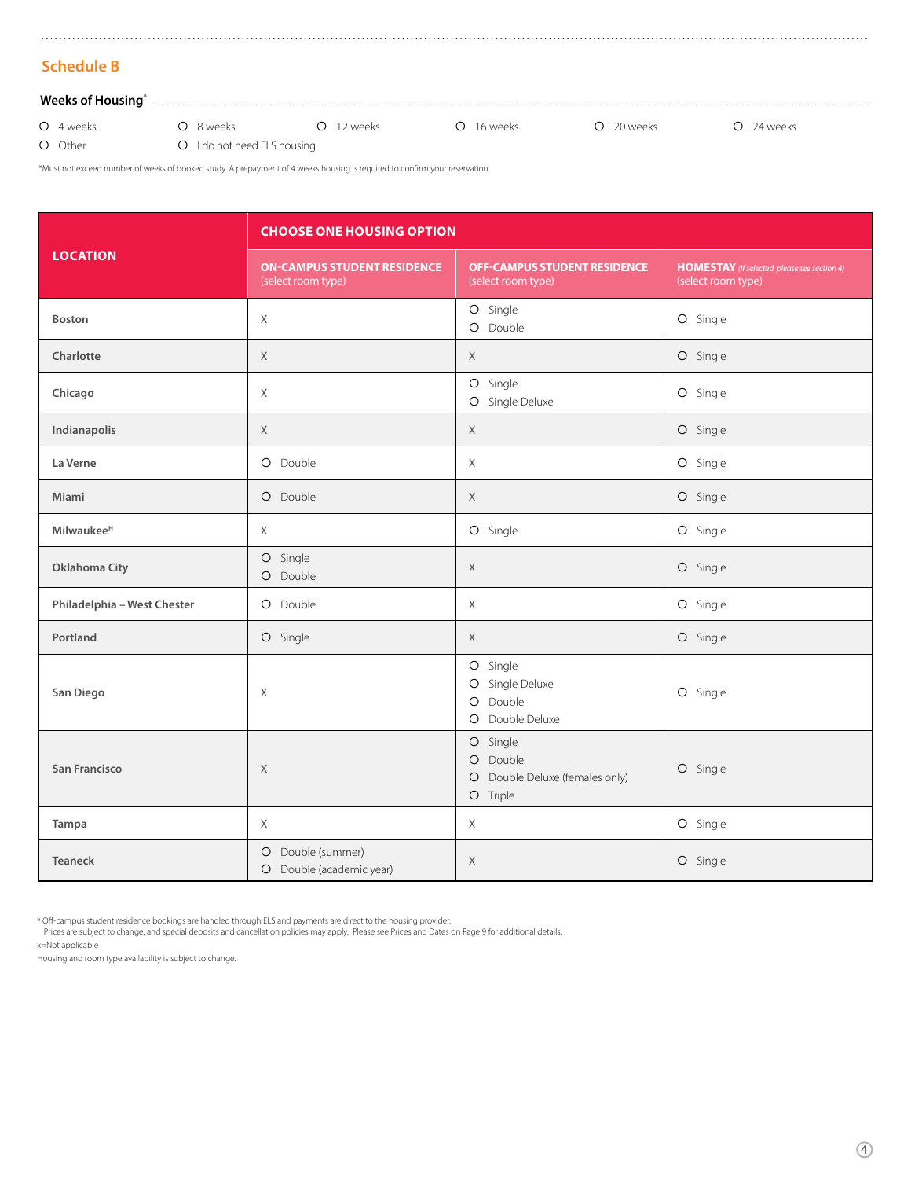### **Schedule B**

#### **Weeks of Housing\***

4 weeks

O Other

O 8 weeks

O 12 weeks C 16 weeks C 20 weeks O 24 weeks

O I do not need ELS housing

\*Must not exceed number of weeks of booked study. A prepayment of 4 weeks housing is required to confirm your reservation.

|                             | <b>CHOOSE ONE HOUSING OPTION</b>                         |                                                                                                      |                                                                    |  |  |  |
|-----------------------------|----------------------------------------------------------|------------------------------------------------------------------------------------------------------|--------------------------------------------------------------------|--|--|--|
| <b>LOCATION</b>             | <b>ON-CAMPUS STUDENT RESIDENCE</b><br>(select room type) | <b>OFF-CAMPUS STUDENT RESIDENCE</b><br>(select room type)                                            | HOMESTAY (If selected, please see section 4)<br>(select room type) |  |  |  |
| <b>Boston</b>               | X                                                        | O Single<br>O Double                                                                                 | O Single                                                           |  |  |  |
| Charlotte                   | X                                                        | $\mathsf X$                                                                                          | O Single                                                           |  |  |  |
| Chicago                     | $\chi$                                                   | O Single<br>$\bigcirc$<br>Single Deluxe                                                              | O Single                                                           |  |  |  |
| Indianapolis                | $\chi$                                                   | X                                                                                                    | O Single                                                           |  |  |  |
| La Verne                    | O Double                                                 | X                                                                                                    | O Single                                                           |  |  |  |
| Miami                       | O Double                                                 | $\mathsf X$                                                                                          | O Single                                                           |  |  |  |
| Milwaukee <sup>H</sup>      | $\chi$                                                   | O Single                                                                                             | O Single                                                           |  |  |  |
| Oklahoma City               | O Single<br>O Double                                     | $\mathsf X$                                                                                          | O Single                                                           |  |  |  |
| Philadelphia - West Chester | O Double                                                 | $\chi$                                                                                               | O Single                                                           |  |  |  |
| Portland                    | O Single                                                 | $\mathsf X$                                                                                          | O Single                                                           |  |  |  |
| San Diego                   | X                                                        | $\bigcirc$<br>Single<br>Single Deluxe<br>$\circ$<br>$\bigcirc$<br>Double<br>Double Deluxe<br>$\circ$ | O Single                                                           |  |  |  |
| <b>San Francisco</b>        | X                                                        | O Single<br>O Double<br>O Double Deluxe (females only)<br>O Triple                                   | O Single                                                           |  |  |  |
| Tampa                       | $\chi$                                                   | X                                                                                                    | O Single                                                           |  |  |  |
| <b>Teaneck</b>              | O Double (summer)<br>O Double (academic year)            | X                                                                                                    | O Single                                                           |  |  |  |

<sup>H</sup> Off-campus student residence bookings are handled through ELS and payments are direct to the housing provider.<br>Prices are subject to change, and special deposits and cancellation policies may apply. Please see Prices a

x=Not applicable

Housing and room type availability is subject to change.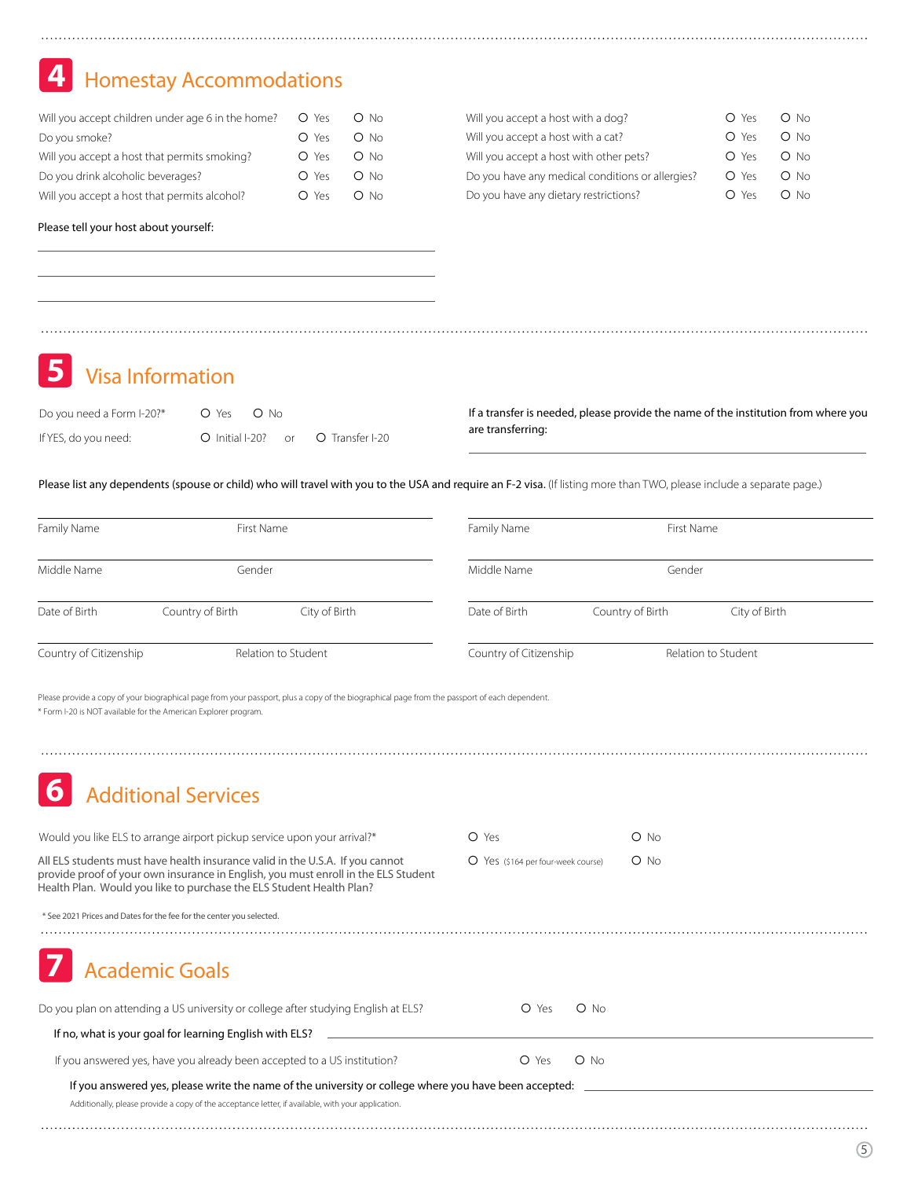## **4** Homestay Accommodations

| Will you accept children under age 6 in the home? $O$ Yes |       | $O$ No |
|-----------------------------------------------------------|-------|--------|
| Do you smoke?                                             | O Yes | O No   |
| Will you accept a host that permits smoking?              | O Yes | O No   |
| Do you drink alcoholic beverages?                         | O Yes | O No   |
| Will you accept a host that permits alcohol?              | O Yes | $O$ No |

| Will you accept a host with a dog?               | O Yes | O No   |
|--------------------------------------------------|-------|--------|
| Will you accept a host with a cat?               | O Yes | $O$ No |
| Will you accept a host with other pets?          | O Yes | O No   |
| Do you have any medical conditions or allergies? | O Yes | $O$ No |
| Do you have any dietary restrictions?            | O Yes | $O$ No |

Please tell your host about yourself:

**5** Visa Information

| Do you need a Form I-20?* | O Yes O No         |  |                 |
|---------------------------|--------------------|--|-----------------|
| If YES, do you need:      | O Initial I-20? or |  | O Transfer I-20 |

If a transfer is needed, please provide the name of the institution from where you are transferring:

Please list any dependents (spouse or child) who will travel with you to the USA and require an F-2 visa. (If listing more than TWO, please include a separate page.)

| Family Name                                                                                                                                                                                                                                 | First Name                                                               |                                                                                                                                               | Family Name                        |                  | First Name          |
|---------------------------------------------------------------------------------------------------------------------------------------------------------------------------------------------------------------------------------------------|--------------------------------------------------------------------------|-----------------------------------------------------------------------------------------------------------------------------------------------|------------------------------------|------------------|---------------------|
| Middle Name                                                                                                                                                                                                                                 | Gender                                                                   |                                                                                                                                               | Middle Name                        | Gender           |                     |
| Date of Birth                                                                                                                                                                                                                               | Country of Birth                                                         | City of Birth                                                                                                                                 | Date of Birth                      | Country of Birth | City of Birth       |
| Country of Citizenship                                                                                                                                                                                                                      |                                                                          | Relation to Student                                                                                                                           | Country of Citizenship             |                  | Relation to Student |
| * Form I-20 is NOT available for the American Explorer program.                                                                                                                                                                             |                                                                          | Please provide a copy of your biographical page from your passport, plus a copy of the biographical page from the passport of each dependent. |                                    |                  |                     |
|                                                                                                                                                                                                                                             | <b>Additional Services</b>                                               |                                                                                                                                               |                                    |                  |                     |
|                                                                                                                                                                                                                                             | Would you like ELS to arrange airport pickup service upon your arrival?* |                                                                                                                                               | O Yes                              | $O$ No           |                     |
| All ELS students must have health insurance valid in the U.S.A. If you cannot<br>provide proof of your own insurance in English, you must enroll in the ELS Student<br>Health Plan. Would you like to purchase the ELS Student Health Plan? |                                                                          |                                                                                                                                               | O Yes (\$164 per four-week course) |                  |                     |
|                                                                                                                                                                                                                                             | * See 2021 Prices and Dates for the fee for the center you selected.     |                                                                                                                                               |                                    |                  |                     |
|                                                                                                                                                                                                                                             | <b>Academic Goals</b>                                                    |                                                                                                                                               |                                    |                  |                     |
|                                                                                                                                                                                                                                             |                                                                          | Do you plan on attending a US university or college after studying English at ELS?                                                            | O Yes                              | $O$ No           |                     |
|                                                                                                                                                                                                                                             | If no, what is your goal for learning English with ELS?                  |                                                                                                                                               |                                    |                  |                     |
|                                                                                                                                                                                                                                             |                                                                          | If you answered yes, have you already been accepted to a US institution?                                                                      | O Yes                              | $O$ No           |                     |

If you answered yes, please write the name of the university or college where you have been accepted:

Additionally, please provide a copy of the acceptance letter, if available, with your application.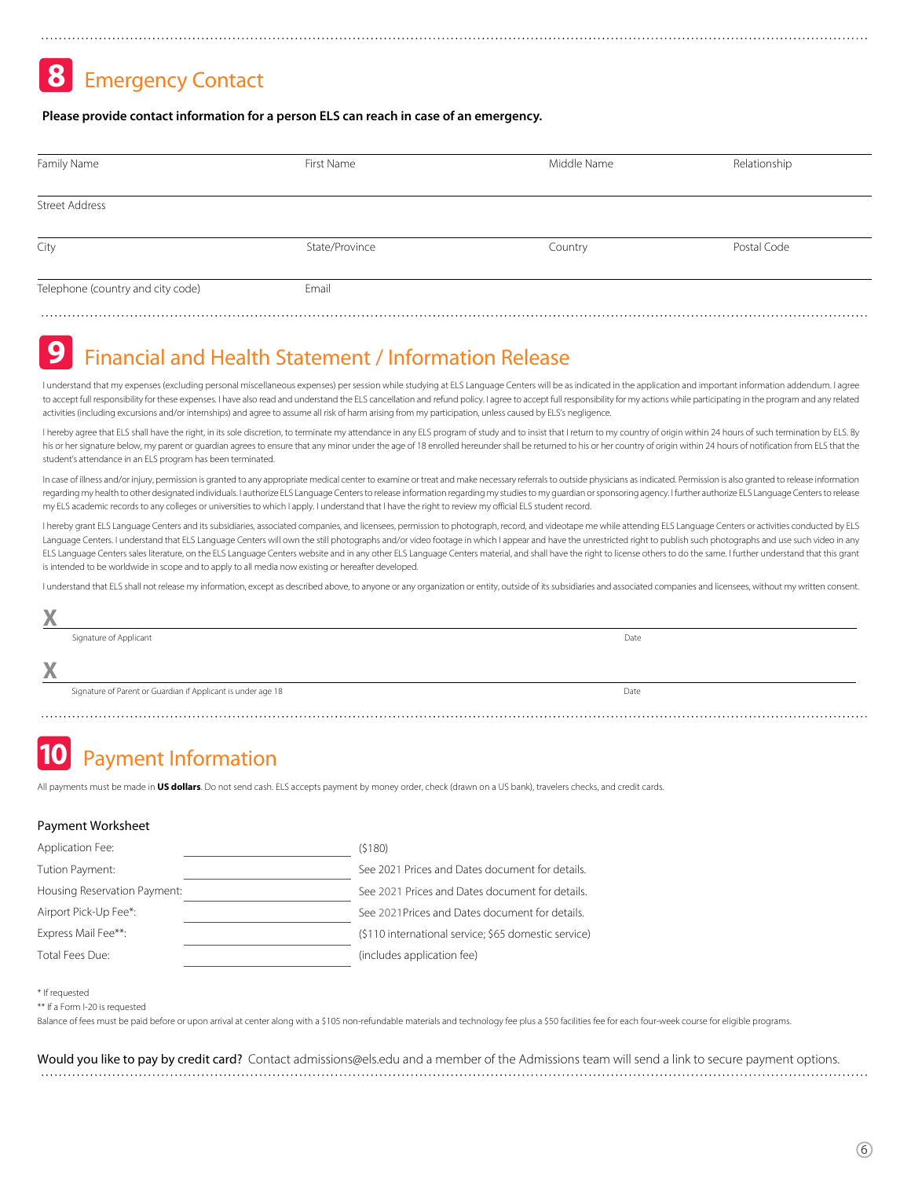## **8** Emergency Contact

#### **Please provide contact information for a person ELS can reach in case of an emergency.**

| Family Name                       | First Name     | Middle Name | Relationship |  |
|-----------------------------------|----------------|-------------|--------------|--|
| <b>Street Address</b>             |                |             |              |  |
| City                              | State/Province | Country     | Postal Code  |  |
| Telephone (country and city code) | Email          |             |              |  |

#### **9** Financial and Health Statement / Information Release

I understand that my expenses (excluding personal miscellaneous expenses) per session while studying at ELS Language Centers will be as indicated in the application and important information addendum. I agree to accept full responsibility for these expenses. I have also read and understand the ELS cancellation and refund policy. I agree to accept full responsibility for my actions while participating in the program and any rela activities (including excursions and/or internships) and agree to assume all risk of harm arising from my participation, unless caused by ELS's negligence.

I hereby agree that ELS shall have the right, in its sole discretion, to terminate my attendance in any ELS program of study and to insist that I return to my country of origin within 24 hours of such termination by ELS. B his or her signature below, my parent or quardian agrees to ensure that any minor under the age of 18 enrolled hereunder shall be returned to his or her country of origin within 24 hours of notification from ELS that the student's attendance in an ELS program has been terminated.

In case of illness and/or injury, permission is granted to any appropriate medical center to examine or treat and make necessary referrals to outside physicians as indicated. Permission is also granted to release informati regarding my health to other designated individuals. I authorize ELS Language Centers to release information regarding my studies to my guardian or sponsoring agency. I further authorize ELS Language Centers to release my ELS academic records to any colleges or universities to which I apply. I understand that I have the right to review my official ELS student record.

I hereby grant ELS Language Centers and its subsidiaries, associated companies, and licensees, permission to photograph, record, and videotape me while attending ELS Language Centers or activities conducted by ELS Language Centers. I understand that ELS Language Centers will own the still photographs and/or video footage in which I appear and have the unrestricted right to publish such photographs and use such video in any ELS Language Centers sales literature, on the ELS Language Centers website and in any other ELS Language Centers material, and shall have the right to license others to do the same. I further understand that this grant is intended to be worldwide in scope and to apply to all media now existing or hereafter developed.

I understand that ELS shall not release my information, except as described above, to anyone or any organization or entity, outside of its subsidiaries and associated companies and licensees, without my written consent.

| "      |                                                              |      |
|--------|--------------------------------------------------------------|------|
|        | Signature of Applicant                                       | Date |
| V<br>∧ |                                                              |      |
|        | Signature of Parent or Guardian if Applicant is under age 18 | Date |
|        |                                                              |      |

## **10** Payment Information

All payments must be made in **US dollars**. Do not send cash. ELS accepts payment by money order, check (drawn on a US bank), travelers checks, and credit cards.

#### Payment Worksheet

| Application Fee:             | (5180)                                               |
|------------------------------|------------------------------------------------------|
| Tution Payment:              | See 2021 Prices and Dates document for details.      |
| Housing Reservation Payment: | See 2021 Prices and Dates document for details.      |
| Airport Pick-Up Fee*:        | See 2021 Prices and Dates document for details.      |
| Express Mail Fee**:          | (\$110 international service; \$65 domestic service) |
| Total Fees Due:              | (includes application fee)                           |

\* If requested

\*\* If a Form I-20 is requested

Balance of fees must be paid before or upon arrival at center along with a \$105 non-refundable materials and technology fee plus a \$50 facilities fee for each four-week course for eligible programs.

Would you like to pay by credit card? Contact admissions@els.edu and a member of the Admissions team will send a link to secure payment options.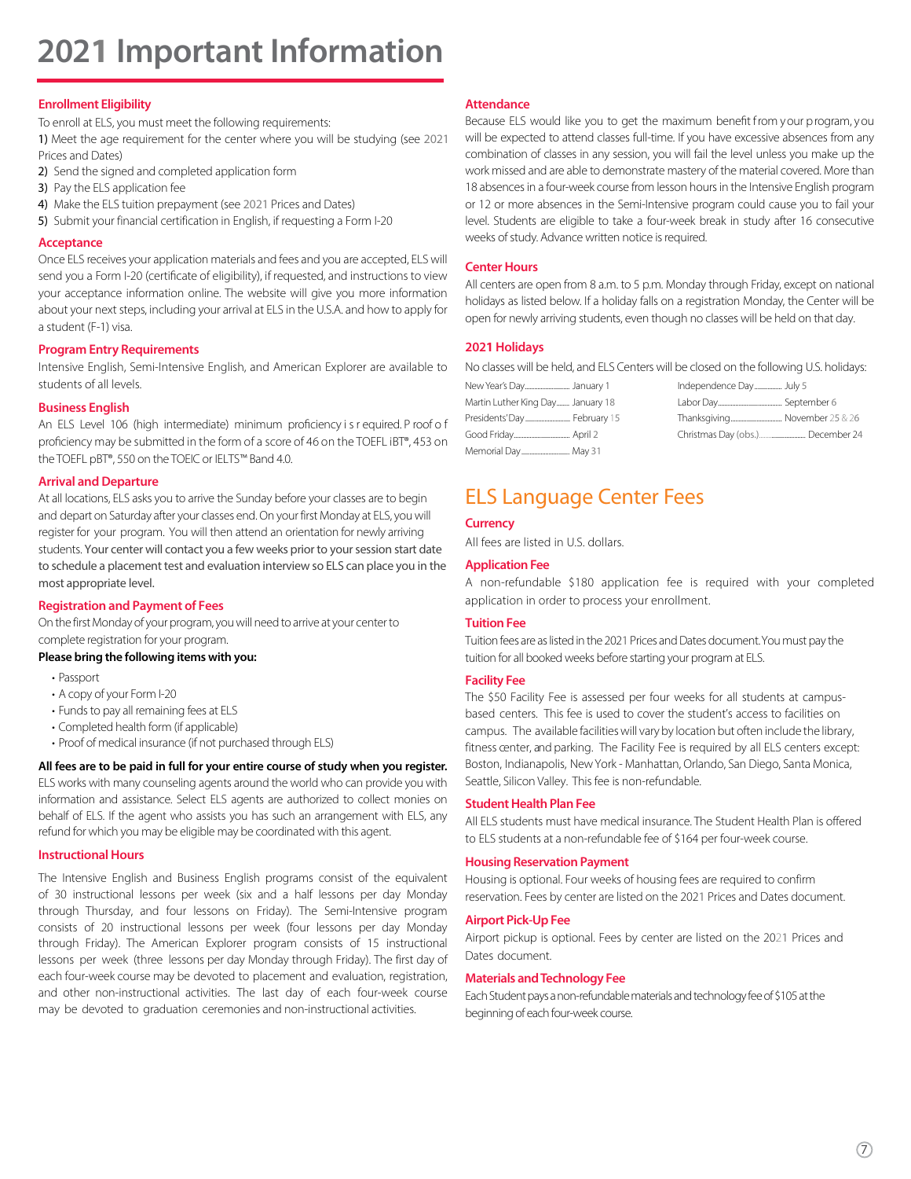# **2021 Important Information**

#### **Enrollment Eligibility**

To enroll at ELS, you must meet the following requirements:

1) Meet the age requirement for the center where you will be studying (see 2021 Prices and Dates)

- 2) Send the signed and completed application form
- 3) Pay the ELS application fee
- 4) Make the ELS tuition prepayment (see 2021 Prices and Dates)
- 5) Submit your financial certification in English, if requesting a Form I-20

#### **Acceptance**

Once ELS receives your application materials and fees and you are accepted, ELS will send you a Form I-20 (certificate of eligibility), if requested, and instructions to view your acceptance information online. The website will give you more information about your next steps, including your arrival at ELS in the U.S.A. and how to apply for a student (F-1) visa.

#### **Program Entry Requirements**

Intensive English, Semi-Intensive English, and American Explorer are available to students of all levels.

#### **Business English**

An ELS Level 106 (high intermediate) minimum proficiency i s r equired. P roof o f proficiency may be submitted in the form of a score of 46 on the TOEFL iBT®, 453 on the TOEFL pBT®, 550 on the TOEIC or IELTS™ Band 4.0.

#### **Arrival and Departure**

At all locations, ELS asks you to arrive the Sunday before your classes are to begin and depart on Saturday after your classes end. On your first Monday at ELS, you will register for your program. You will then attend an orientation for newly arriving students. Your center will contact you a few weeks prior to your session start date to schedule a placement test and evaluation interview so ELS can place you in the most appropriate level.

#### **Registration and Payment of Fees**

On the first Monday of your program, you will need to arrive at your center to complete registration for your program.

#### **Please bring the following items with you:**

- Passport
- A copy of your Form I-20
- Funds to pay all remaining fees at ELS
- Completed health form (if applicable)
- Proof of medical insurance (if not purchased through ELS)

**All fees are to be paid in full for your entire course of study when you register.** ELS works with many counseling agents around the world who can provide you with information and assistance. Select ELS agents are authorized to collect monies on behalf of ELS. If the agent who assists you has such an arrangement with ELS, any refund for which you may be eligible may be coordinated with this agent.

#### **Instructional Hours**

The Intensive English and Business English programs consist of the equivalent of 30 instructional lessons per week (six and a half lessons per day Monday through Thursday, and four lessons on Friday). The Semi-Intensive program consists of 20 instructional lessons per week (four lessons per day Monday through Friday). The American Explorer program consists of 15 instructional lessons per week (three lessons per day Monday through Friday). The first day of each four-week course may be devoted to placement and evaluation, registration, and other non-instructional activities. The last day of each four-week course may be devoted to graduation ceremonies and non-instructional activities.

#### **Attendance**

Because ELS would like you to get the maximum benefit from your p rogram, you will be expected to attend classes full-time. If you have excessive absences from any combination of classes in any session, you will fail the level unless you make up the work missed and are able to demonstrate mastery of the material covered. More than 18 absences in a four-week course from lesson hours in the Intensive English program or 12 or more absences in the Semi-Intensive program could cause you to fail your level. Students are eligible to take a four-week break in study after 16 consecutive weeks of study. Advance written notice is required.

#### **Center Hours**

All centers are open from 8 a.m. to 5 p.m. Monday through Friday, except on national holidays as listed below. If a holiday falls on a registration Monday, the Center will be open for newly arriving students, even though no classes will be held on that day.

#### **2021 Holidays**

No classes will be held, and ELS Centers will be closed on the following U.S. holidays:

| Martin Luther King Day January 18 |  |
|-----------------------------------|--|
| Presidents'Day February 15        |  |
|                                   |  |
| Memorial Day May 31               |  |

### ELS Language Center Fees

#### **Currency**

All fees are listed in U.S. dollars.

#### **Application Fee**

A non-refundable \$180 application fee is required with your completed application in order to process your enrollment.

#### **Tuition Fee**

Tuition fees are as listed in the 2021 Prices and Dates document. You must pay the tuition for all booked weeks before starting your program at ELS.

#### **Facility Fee**

The \$50 Facility Fee is assessed per four weeks for all students at campusbased centers. This fee is used to cover the student's access to facilities on campus. The available facilities will vary by location but often include the library, fitness center, and parking. The Facility Fee is required by all ELS centers except: Boston, Indianapolis, New York - Manhattan, Orlando, San Diego, Santa Monica, Seattle, Silicon Valley. This fee is non-refundable.

#### **Student Health Plan Fee**

All ELS students must have medical insurance. The Student Health Plan is offered to ELS students at a non-refundable fee of \$164 per four-week course.

#### **Housing Reservation Payment**

Housing is optional. Four weeks of housing fees are required to confirm reservation. Fees by center are listed on the 2021 Prices and Dates document.

#### **Airport Pick-Up Fee**

Airport pickup is optional. Fees by center are listed on the 2021 Prices and Dates document.

#### **Materials andTechnology Fee**

Each Student pays a non-refundable materials and technology fee of \$105 at the beginning of each four-week course.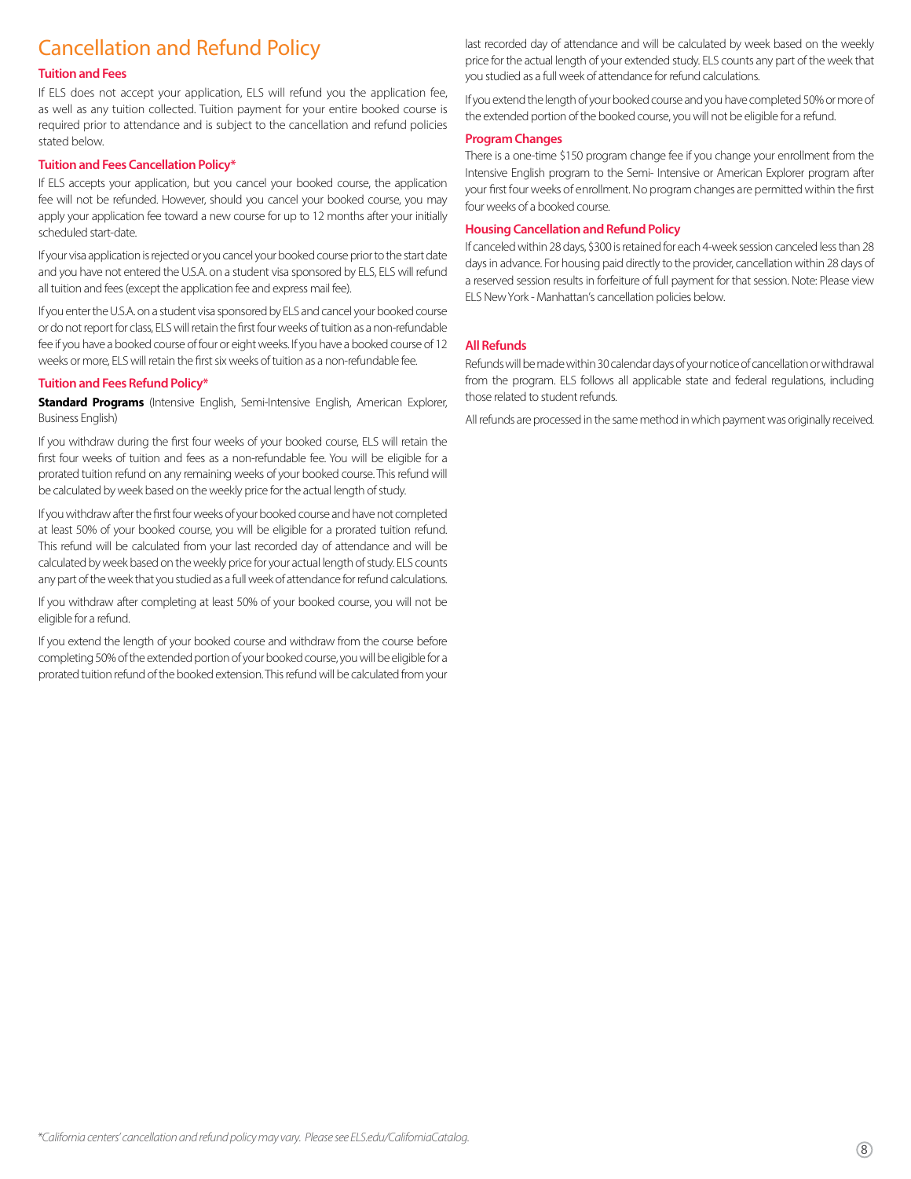### Cancellation and Refund Policy

#### **Tuition and Fees**

If ELS does not accept your application, ELS will refund you the application fee, as well as any tuition collected. Tuition payment for your entire booked course is required prior to attendance and is subject to the cancellation and refund policies stated below.

#### **Tuition and Fees Cancellation Policy\***

If ELS accepts your application, but you cancel your booked course, the application fee will not be refunded. However, should you cancel your booked course, you may apply your application fee toward a new course for up to 12 months after your initially scheduled start-date.

If your visa application is rejected or you cancel your booked course prior to the start date and you have not entered the U.S.A. on a student visa sponsored by ELS, ELS will refund all tuition and fees (except the application fee and express mail fee).

If you enter the U.S.A. on a student visa sponsored by ELS and cancel your booked course or do not report for class, ELS will retain the first four weeks of tuition as a non-refundable fee if you have a booked course of four or eight weeks. If you have a booked course of 12 weeks or more, ELS will retain the first six weeks of tuition as a non-refundable fee.

#### **Tuition and Fees Refund Policy\***

**Standard Programs** (Intensive English, Semi-Intensive English, American Explorer, Business English)

If you withdraw during the first four weeks of your booked course, ELS will retain the first four weeks of tuition and fees as a non-refundable fee. You will be eligible for a prorated tuition refund on any remaining weeks of your booked course. This refund will be calculated by week based on the weekly price for the actual length of study.

If you withdraw after the first four weeks of your booked course and have not completed at least 50% of your booked course, you will be eligible for a prorated tuition refund. This refund will be calculated from your last recorded day of attendance and will be calculated by week based on the weekly price for your actual length of study. ELS counts any part of the week that you studied as a full week of attendance for refund calculations.

If you withdraw after completing at least 50% of your booked course, you will not be eligible for a refund.

If you extend the length of your booked course and withdraw from the course before completing 50% of the extended portion of your booked course, you will be eligible for a prorated tuition refund of the booked extension. This refund will be calculated from your last recorded day of attendance and will be calculated by week based on the weekly price for the actual length of your extended study. ELS counts any part of the week that you studied as a full week of attendance for refund calculations.

If you extend the length of your booked course and you have completed 50% or more of the extended portion of the booked course, you will not be eligible for a refund.

#### **Program Changes**

There is a one-time \$150 program change fee if you change your enrollment from the Intensive English program to the Semi- Intensive or American Explorer program after your first four weeks of enrollment. No program changes are permitted within the first four weeks of a booked course.

#### **Housing Cancellation and Refund Policy**

If canceled within 28 days, \$300 is retained for each 4-week session canceled less than 28 days in advance. For housing paid directly to the provider, cancellation within 28 days of a reserved session results in forfeiture of full payment for that session. Note: Please view ELS New York - Manhattan's cancellation policies below.

#### **All Refunds**

Refunds will be made within 30 calendar days of your notice of cancellation or withdrawal from the program. ELS follows all applicable state and federal regulations, including those related to student refunds.

All refunds are processed in the same method in which payment was originally received.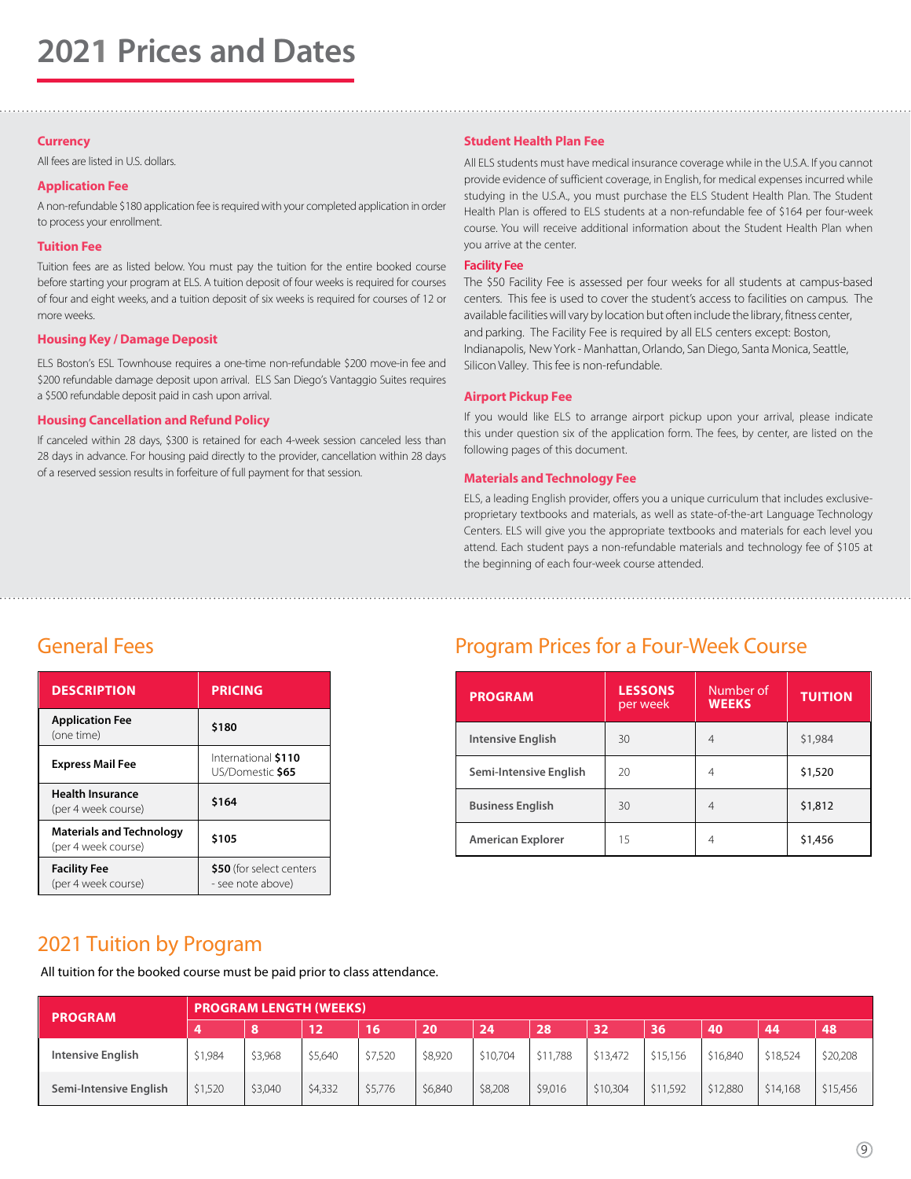#### **Currency**

All fees are listed in U.S. dollars.

#### **Application Fee**

A non-refundable \$180 application fee is required with your completed application in order to process your enrollment.

#### **Tuition Fee**

Tuition fees are as listed below. You must pay the tuition for the entire booked course before starting your program at ELS. A tuition deposit of four weeks is required for courses of four and eight weeks, and a tuition deposit of six weeks is required for courses of 12 or more weeks.

#### **Housing Key / Damage Deposit**

ELS Boston's ESL Townhouse requires a one-time non-refundable \$200 move-in fee and \$200 refundable damage deposit upon arrival. ELS San Diego's Vantaggio Suites requires a \$500 refundable deposit paid in cash upon arrival.

#### **Housing Cancellation and Refund Policy**

If canceled within 28 days, \$300 is retained for each 4-week session canceled less than 28 days in advance. For housing paid directly to the provider, cancellation within 28 days of a reserved session results in forfeiture of full payment for that session.

#### **Student Health Plan Fee**

All ELS students must have medical insurance coverage while in the U.S.A. If you cannot provide evidence of sufficient coverage, in English, for medical expenses incurred while studying in the U.S.A., you must purchase the ELS Student Health Plan. The Student Health Plan is offered to ELS students at a non-refundable fee of \$164 per four-week course. You will receive additional information about the Student Health Plan when you arrive at the center.

#### **Facility Fee**

The \$50 Facility Fee is assessed per four weeks for all students at campus-based centers. This fee is used to cover the student's access to facilities on campus. The available facilities will vary by location but often include the library, fitness center, and parking. The Facility Fee is required by all ELS centers except: Boston, Indianapolis, New York - Manhattan, Orlando, San Diego, Santa Monica, Seattle, Silicon Valley. This fee is non-refundable.

#### **Airport Pickup Fee**

If you would like ELS to arrange airport pickup upon your arrival, please indicate this under question six of the application form. The fees, by center, are listed on the following pages of this document.

#### **Materials andTechnology Fee**

ELS, a leading English provider, offers you a unique curriculum that includes exclusiveproprietary textbooks and materials, as well as state-of-the-art Language Technology Centers. ELS will give you the appropriate textbooks and materials for each level you attend. Each student pays a non-refundable materials and technology fee of \$105 at the beginning of each four-week course attended.

| <b>DESCRIPTION</b>                                     | PRICING                                       |  |  |  |  |  |
|--------------------------------------------------------|-----------------------------------------------|--|--|--|--|--|
| <b>Application Fee</b><br>(one time)                   | \$180                                         |  |  |  |  |  |
| <b>Express Mail Fee</b>                                | International \$110<br>US/Domestic \$65       |  |  |  |  |  |
| <b>Health Insurance</b><br>(per 4 week course)         | \$164                                         |  |  |  |  |  |
| <b>Materials and Technology</b><br>(per 4 week course) | \$105                                         |  |  |  |  |  |
| <b>Facility Fee</b><br>(per 4 week course)             | \$50 (for select centers<br>- see note above) |  |  |  |  |  |

### General Fees **Exercise Services** Program Prices for a Four-Week Course

| <b>PROGRAM</b>           | <b>LESSONS</b><br>per week | Number of<br><b>WEEKS</b> | <b>TUITION</b> |
|--------------------------|----------------------------|---------------------------|----------------|
| <b>Intensive English</b> | 30                         | $\overline{4}$            | \$1,984        |
| Semi-Intensive English   | 20                         | 4                         | \$1,520        |
| <b>Business English</b>  | 30                         | 4                         | \$1,812        |
| <b>American Explorer</b> | 15                         | 4                         | \$1,456        |

### 2021 Tuition by Program

All tuition for the booked course must be paid prior to class attendance.

| <b>PROGRAM</b>         | <b>PROGRAM LENGTH (WEEKS)</b> |         |         |         |         |          |          |          |          |          |          |          |  |
|------------------------|-------------------------------|---------|---------|---------|---------|----------|----------|----------|----------|----------|----------|----------|--|
|                        |                               | 8       | 12      | 16      | 20      | 24       | 28       | 32       | 36       | 40       | 44       | 48       |  |
| Intensive English      | \$1,984                       | \$3,968 | \$5,640 | \$7,520 | \$8,920 | \$10,704 | \$11,788 | \$13,472 | \$15,156 | \$16,840 | \$18,524 | \$20,208 |  |
| Semi-Intensive English | \$1,520                       | \$3,040 | \$4,332 | \$5,776 | \$6,840 | \$8,208  | \$9,016  | \$10,304 | \$11,592 | \$12,880 | \$14,168 | \$15,456 |  |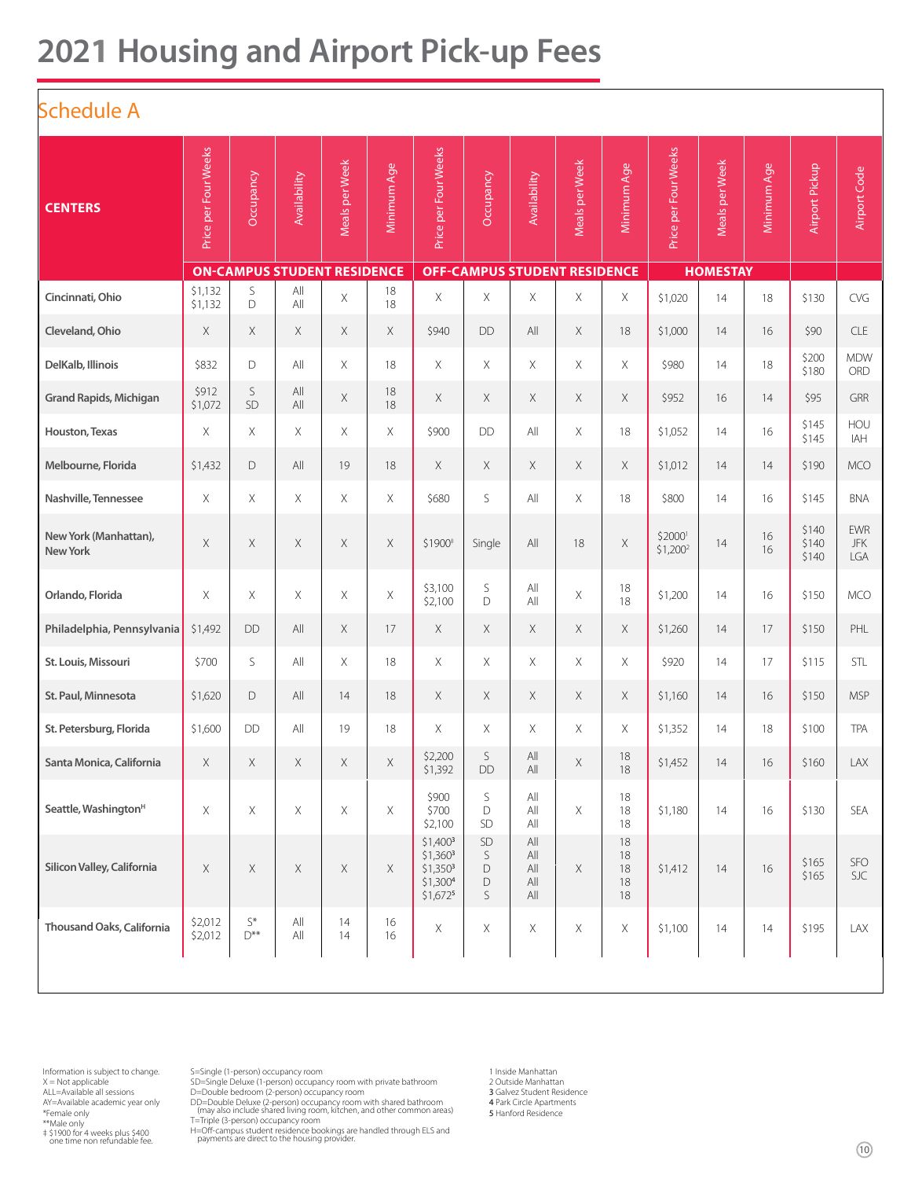# **2021 Housing and Airport Pick-up Fees**

### Schedule A

| -------                                  |                      |                                           |                                    |                |             |                                                                                         |                                     |                                            |                |                            |                      |                 |             |                         |                                 |
|------------------------------------------|----------------------|-------------------------------------------|------------------------------------|----------------|-------------|-----------------------------------------------------------------------------------------|-------------------------------------|--------------------------------------------|----------------|----------------------------|----------------------|-----------------|-------------|-------------------------|---------------------------------|
| <b>CENTERS</b>                           | Price per Four Weeks | Occupancy                                 | Availability                       | Meals per Week | Minimum Age | Price per Four Weeks                                                                    | Occupancy                           | <b>Availability</b>                        | Meals per Week | Minimum Age                | Price per Four Weeks | Meals per Week  | Minimum Age | Airport Pickup          | Airport Code                    |
|                                          |                      |                                           | <b>ON-CAMPUS STUDENT RESIDENCE</b> |                |             |                                                                                         | <b>OFF-CAMPUS STUDENT RESIDENCE</b> |                                            |                |                            |                      | <b>HOMESTAY</b> |             |                         |                                 |
| Cincinnati, Ohio                         | \$1,132<br>\$1,132   | S<br>D                                    | All<br>All                         | $\mathsf X$    | 18<br>18    | Χ                                                                                       | Χ                                   | X                                          | Χ              | X                          | \$1,020              | 14              | 18          | \$130                   | CVG                             |
| Cleveland, Ohio                          | X                    | X                                         | X                                  | $\times$       | $\times$    | \$940                                                                                   | DD                                  | All                                        | X              | 18                         | \$1,000              | 14              | 16          | \$90                    | <b>CLE</b>                      |
| DelKalb, Illinois                        | \$832                | D                                         | All                                | $\times$       | 18          | X                                                                                       | X                                   | $\times$                                   | X              | X                          | \$980                | 14              | 18          | \$200<br>\$180          | <b>MDW</b><br><b>ORD</b>        |
| <b>Grand Rapids, Michigan</b>            | \$912<br>\$1,072     | S<br>SD                                   | All<br>All                         | X              | 18<br>18    | X                                                                                       | X                                   | $\times$                                   | X              | X                          | \$952                | 16              | 14          | \$95                    | GRR                             |
| Houston, Texas                           | X                    | X                                         | X                                  | $\times$       | X           | \$900                                                                                   | DD                                  | All                                        | X              | 18                         | \$1,052              | 14              | 16          | \$145<br>\$145          | HOU<br>IAH                      |
| Melbourne, Florida                       | \$1,432              | D                                         | All                                | 19             | 18          | X                                                                                       | Χ                                   | $\mathsf X$                                | Χ              | X                          | \$1,012              | 14              | 14          | \$190                   | <b>MCO</b>                      |
| Nashville, Tennessee                     | $\times$             | X                                         | $\times$                           | $\mathsf X$    | $\times$    | \$680                                                                                   | S                                   | All                                        | X              | 18                         | \$800                | 14              | 16          | \$145                   | <b>BNA</b>                      |
| New York (Manhattan),<br><b>New York</b> | X                    | X                                         | X                                  | $\times$       | Χ           | \$1900 <sup>+</sup>                                                                     | Single                              | All                                        | 18             | Χ                          | \$2000<br>$$1,200^2$ | 14              | 16<br>16    | \$140<br>\$140<br>\$140 | <b>EWR</b><br><b>JFK</b><br>LGA |
| Orlando, Florida                         | X                    | X                                         | X                                  | $\times$       | $\times$    | \$3,100<br>\$2,100                                                                      | S<br>D                              | $\mathsf{All}$<br>All                      | Χ              | $18\,$<br>18               | \$1,200              | 14              | 16          | \$150                   | <b>MCO</b>                      |
| Philadelphia, Pennsylvania               | \$1,492              | <b>DD</b>                                 | All                                | $\mathsf X$    | 17          | X                                                                                       | Χ                                   | Χ                                          | X              | X                          | \$1,260              | 14              | 17          | \$150                   | PHL                             |
| St. Louis, Missouri                      | \$700                | S                                         | All                                | X              | 18          | X                                                                                       | Χ                                   | $\times$                                   | Χ              | Χ                          | \$920                | 14              | 17          | \$115                   | STL                             |
| St. Paul, Minnesota                      | \$1,620              | D                                         | All                                | 14             | 18          | Χ                                                                                       | Χ                                   | $\times$                                   | Χ              | X                          | \$1,160              | 14              | 16          | \$150                   | <b>MSP</b>                      |
| St. Petersburg, Florida                  | \$1,600              | <b>DD</b>                                 | All                                | 19             | 18          | Χ                                                                                       | Χ                                   | $\times$                                   | X              | X                          | \$1,352              | 14              | 18          | \$100                   | <b>TPA</b>                      |
| Santa Monica, California                 | X                    | Χ                                         | X                                  | X              | Χ           | \$2,200<br>\$1,392                                                                      | S<br><b>DD</b>                      | All<br>All                                 | Χ              | 18<br>18                   | \$1,452              | 14              | 16          | \$160                   | LAX                             |
| Seattle, Washington <sup>H</sup>         | X                    | X                                         | X                                  | $\mathsf X$    | $\times$    | \$900<br>\$700<br>\$2,100                                                               | $\mathsf S$<br>D<br>SD              | All<br>All<br>All                          | $\mathsf X$    | 18<br>18<br>18             | \$1,180              | 14              | 16          | \$130                   | SEA                             |
| Silicon Valley, California               | X                    | X                                         | $\times$                           | $\mathsf X$    | $\times$    | $$1,400^3$<br>$$1,360^3$<br>$$1,350^3$<br>\$1,300 <sup>4</sup><br>$$1,672$ <sup>5</sup> | SD<br>S<br>D<br>D<br>S              | $\mathsf{All}$<br>All<br>All<br>All<br>All | $\mathsf X$    | 18<br>18<br>18<br>18<br>18 | \$1,412              | 14              | 16          | \$165<br>\$165          | <b>SFO</b><br>SJC               |
| Thousand Oaks, California                | \$2,012<br>\$2,012   | $\mathsf{S}^*$<br>$\mathsf{D}^{\ast\ast}$ | All<br>All                         | 14<br>14       | 16<br>16    | X                                                                                       | X                                   | $\mathsf X$                                | X              | $\mathsf X$                | \$1,100              | 14              | 14          | \$195                   | LAX                             |
|                                          |                      |                                           |                                    |                |             |                                                                                         |                                     |                                            |                |                            |                      |                 |             |                         |                                 |

Information is subject to change.  $X = Not applicable$ ALL=Available all sessions AY=Available academic year only \*Female only \*\*Male only ‡ \$1900 for 4 weeks plus \$400 one time non refundable fee.

S=Single (1-person) occupancy room

SD=Single Deluxe (1-person) occupancy room with private bathroom

D=Double bedroom (2-person) occupancy room

DD=Double Deluxe (2-person) occupancy room with shared bathroom (may also include shared living room, kitchen, and other common areas) T=Triple (3-person) occupancy room

H=Off-campus student residence bookings are handled through ELS and payments are direct to the housing provider.

1 Inside Manhattan 2 Outside Manhattan 3 Galvez Student Residence 4 Park Circle Apartments

5 Hanford Residence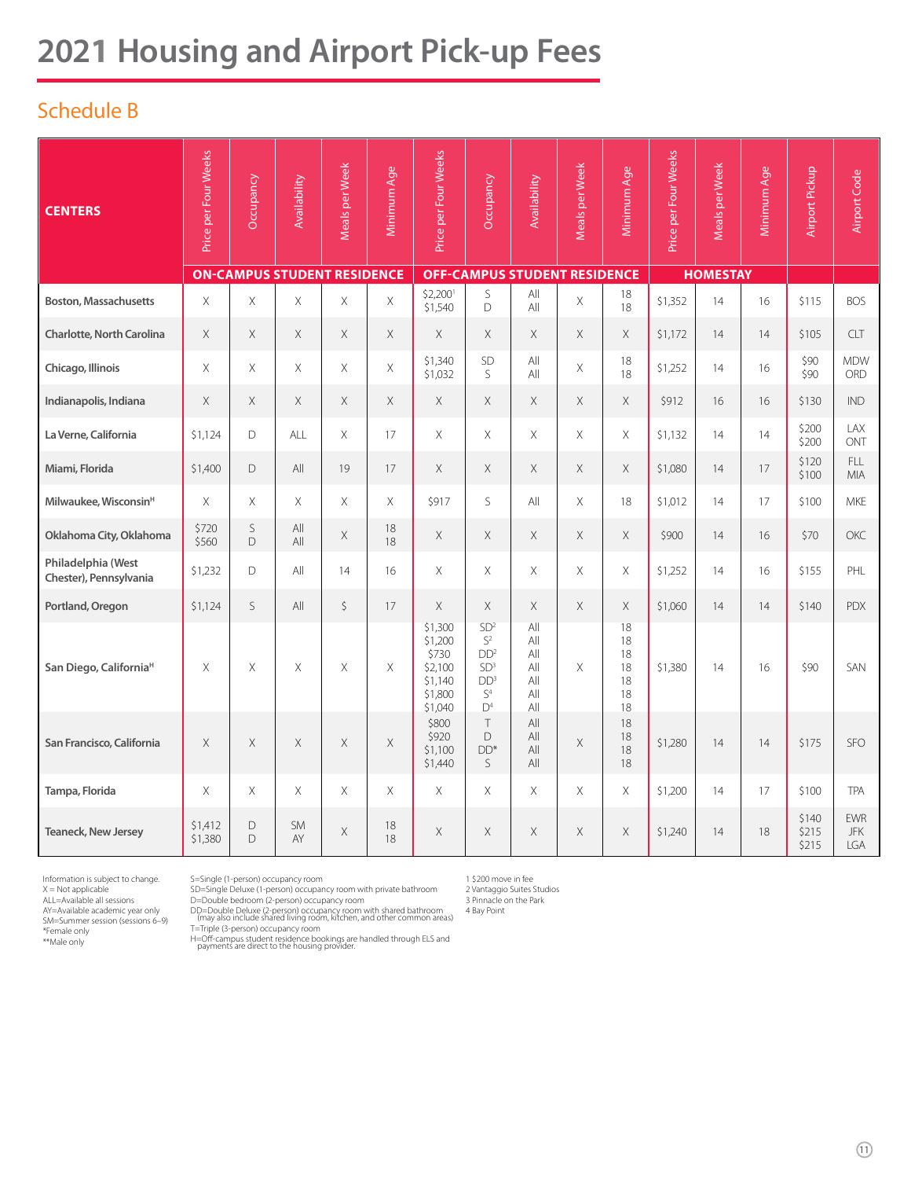# **2021 Housing and Airport Pick-up Fees**

### Schedule B

| <b>CENTERS</b>                               | Price per Four Weeks | Occupancy                          | Availability    | Meals per Week | Minimum Age | Price per Four Weeks                                                    | Occupancy                                                                                                             | Availability                                  | Meals per Week | Minimum Age                            | Price per Four Weeks | Meals per Week  | Minimum Age | Airport Pickup          | Airport Code                    |
|----------------------------------------------|----------------------|------------------------------------|-----------------|----------------|-------------|-------------------------------------------------------------------------|-----------------------------------------------------------------------------------------------------------------------|-----------------------------------------------|----------------|----------------------------------------|----------------------|-----------------|-------------|-------------------------|---------------------------------|
|                                              |                      | <b>ON-CAMPUS STUDENT RESIDENCE</b> |                 |                |             |                                                                         |                                                                                                                       | <b>OFF-CAMPUS STUDENT RESIDENCE</b>           |                |                                        |                      | <b>HOMESTAY</b> |             |                         |                                 |
| <b>Boston, Massachusetts</b>                 | X                    | Χ                                  | Χ               | X              | X           | \$2,200<br>\$1,540                                                      | S<br>D                                                                                                                | All<br>All                                    | X              | 18<br>18                               | \$1,352              | 14              | 16          | \$115                   | <b>BOS</b>                      |
| Charlotte, North Carolina                    | $\times$             | X                                  | X               | X              | X           | $\times$                                                                | X                                                                                                                     | X                                             | X              | $\times$                               | \$1,172              | 14              | 14          | \$105                   | <b>CLT</b>                      |
| Chicago, Illinois                            | $\times$             | X.                                 | X               | $\times$       | $\mathsf X$ | \$1,340<br>\$1,032                                                      | SD<br>S.                                                                                                              | All<br>All                                    | $\times$       | 18<br>18                               | \$1,252              | 14              | 16          | \$90<br>\$90            | <b>MDW</b><br>ORD               |
| Indianapolis, Indiana                        | X                    | $\times$                           | $\times$        | $\times$       | $\times$    | $\times$                                                                | $\times$                                                                                                              | $\times$                                      | X              | X                                      | \$912                | 16              | 16          | \$130                   | <b>IND</b>                      |
| La Verne, California                         | \$1,124              | D                                  | ALL             | $\mathsf X$    | 17          | X                                                                       | X                                                                                                                     | X                                             | X              | X                                      | \$1,132              | 14              | 14          | \$200<br>\$200          | LAX<br>ONT                      |
| Miami, Florida                               | \$1,400              | D                                  | All             | 19             | 17          | X                                                                       | X                                                                                                                     | X                                             | X              | X                                      | \$1,080              | 14              | 17          | \$120<br>\$100          | <b>FLL</b><br>MIA               |
| Milwaukee, Wisconsin <sup>H</sup>            | $\times$             | X.                                 | X               | $\times$       | X           | \$917                                                                   | S.                                                                                                                    | All                                           | $\times$       | 18                                     | \$1,012              | 14              | 17          | \$100                   | <b>MKE</b>                      |
| Oklahoma City, Oklahoma                      | \$720<br>\$560       | S<br>$\Box$                        | All<br>All      | $\times$       | 18<br>18    | $\times$                                                                | X                                                                                                                     | X                                             | X              | $\times$                               | \$900                | 14              | 16          | \$70                    | <b>OKC</b>                      |
| Philadelphia (West<br>Chester), Pennsylvania | \$1,232              | D                                  | All             | 14             | 16          | $\times$                                                                | X                                                                                                                     | X                                             | $\times$       | $\mathsf X$                            | \$1,252              | 14              | 16          | \$155                   | PHL                             |
| Portland, Oregon                             | \$1,124              | S.                                 | All             | \$             | 17          | $\times$                                                                | $\times$                                                                                                              | X                                             | $\times$       | $\times$                               | \$1,060              | 14              | 14          | \$140                   | <b>PDX</b>                      |
| San Diego, California <sup>H</sup>           | X                    | X.                                 | Χ               | X              | X           | \$1,300<br>\$1,200<br>\$730<br>\$2,100<br>\$1.140<br>\$1,800<br>\$1,040 | SD <sup>2</sup><br>$S^2$<br>DD <sup>2</sup><br>SD <sup>3</sup><br>DD <sup>3</sup><br>S <sup>4</sup><br>$\mathsf{D}^4$ | All<br>All<br>All<br>All<br>All<br>All<br>All | $\times$       | 18<br>18<br>18<br>18<br>18<br>18<br>18 | \$1,380              | 14              | 16          | \$90                    | SAN                             |
| San Francisco, California                    | $\times$             | X                                  | $\times$        | $\times$       | $\times$    | \$800<br>\$920<br>\$1,100<br>\$1,440                                    | T<br>D<br>$DD*$<br>S                                                                                                  | All<br>All<br>All<br>All                      | $\times$       | 18<br>18<br>18<br>18                   | \$1,280              | 14              | 14          | \$175                   | <b>SFO</b>                      |
| Tampa, Florida                               | $\times$             | X                                  | X               | $\times$       | $\times$    | X                                                                       | $\times$                                                                                                              | X                                             | $\times$       | $\times$                               | \$1,200              | 14              | 17          | \$100                   | <b>TPA</b>                      |
| <b>Teaneck, New Jersey</b>                   | \$1,412<br>\$1,380   | D.<br>D                            | <b>SM</b><br>AY | $\times$       | 18<br>18    | $\times$                                                                | $\times$                                                                                                              | X                                             | $\times$       | $\times$                               | \$1,240              | 14              | 18          | \$140<br>\$215<br>\$215 | <b>EWR</b><br><b>JFK</b><br>LGA |

Information is subject to change. X = Not applicable ALL=Available all sessions

AY=Available academic year only SM=Summer session (sessions 6–9) \*Female only \*\*Male only

S=Single (1-person) occupancy room

SD=Single Deluxe (1-person) occupancy room with private bathroom D=Double bedroom (2-person) occupancy room

DD=Double Deluxe (2-person) occupancy room with shared bathroom (may also include shared living room, kitchen, and other common areas) T=Triple (3-person) occupancy room

H=Off-campus student residence bookings are handled through ELS and payments are direct to the housing provider.

1 \$200 move in fee

2 Vantaggio Suites Studios 3 Pinnacle on the Park

4 Bay Point